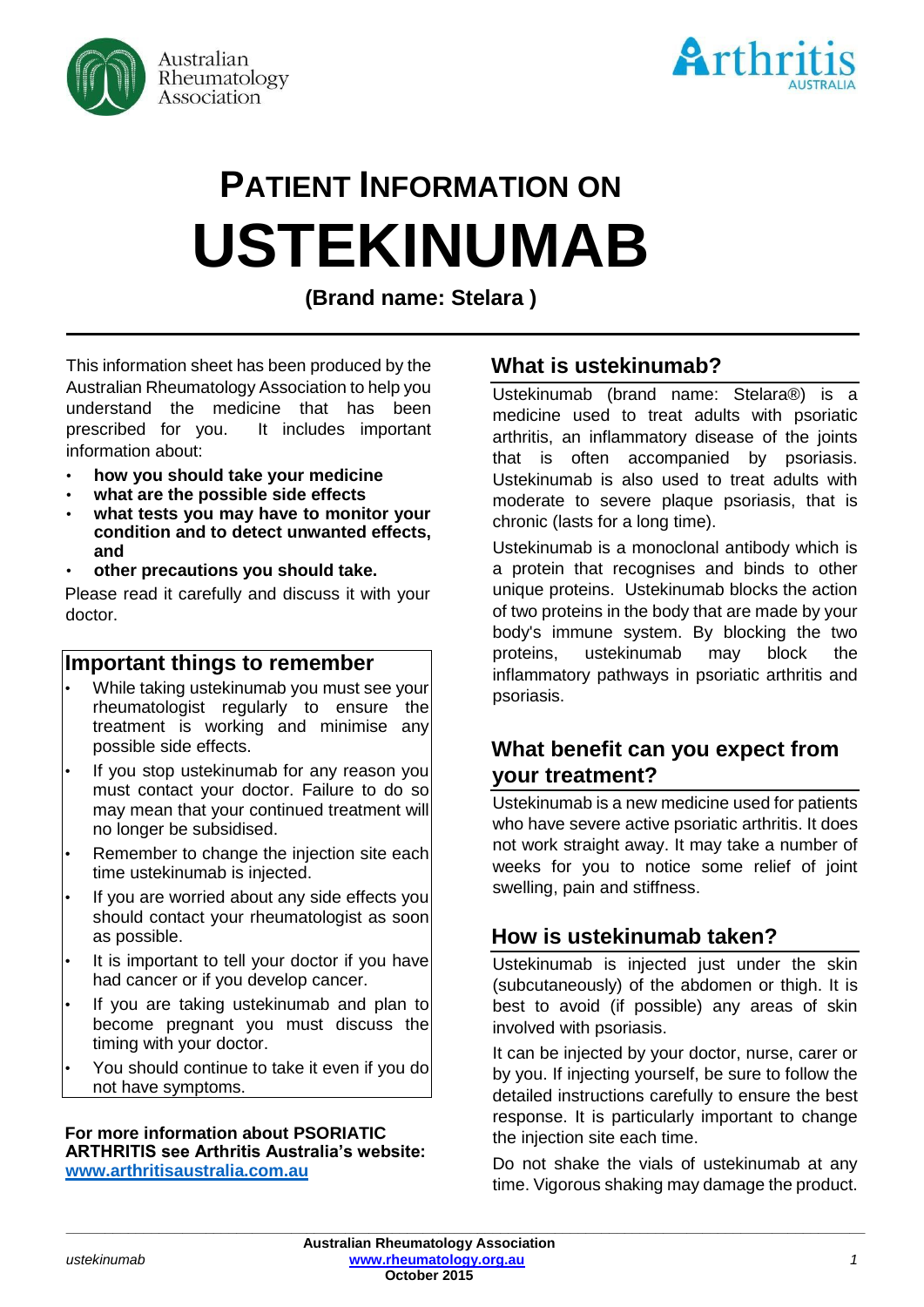



# **PATIENT INFORMATION ON USTEKINUMAB**

**(Brand name: Stelara )**

This information sheet has been produced by the Australian Rheumatology Association to help you understand the medicine that has been prescribed for you. It includes important information about:

- **how you should take your medicine**
- **what are the possible side effects**
- **what tests you may have to monitor your condition and to detect unwanted effects, and**
- **other precautions you should take.**

Please read it carefully and discuss it with your doctor.

## **Important things to remember**

- While taking ustekinumab you must see your rheumatologist regularly to ensure the treatment is working and minimise any possible side effects.
- If you stop ustekinumab for any reason you must contact your doctor. Failure to do so may mean that your continued treatment will no longer be subsidised.
- Remember to change the injection site each time ustekinumab is injected.
- If you are worried about any side effects you should contact your rheumatologist as soon as possible.
- It is important to tell your doctor if you have had cancer or if you develop cancer.
- If you are taking ustekinumab and plan to become pregnant you must discuss the timing with your doctor.
- You should continue to take it even if you do not have symptoms.

#### **For more information about PSORIATIC ARTHRITIS see Arthritis Australia's website: [www.arthritisaustralia.com.au](http://www.arthritisaustralia.com.au/)**

# **What is ustekinumab?**

Ustekinumab (brand name: Stelara®) is a medicine used to treat adults with psoriatic arthritis, an inflammatory disease of the joints that is often accompanied by psoriasis. Ustekinumab is also used to treat adults with moderate to severe plaque psoriasis, that is chronic (lasts for a long time).

Ustekinumab is a monoclonal antibody which is a protein that recognises and binds to other unique proteins. Ustekinumab blocks the action of two proteins in the body that are made by your body's immune system. By blocking the two proteins, ustekinumab may block the inflammatory pathways in psoriatic arthritis and psoriasis.

# **What benefit can you expect from your treatment?**

Ustekinumab is a new medicine used for patients who have severe active psoriatic arthritis. It does not work straight away. It may take a number of weeks for you to notice some relief of joint swelling, pain and stiffness.

# **How is ustekinumab taken?**

Ustekinumab is injected just under the skin (subcutaneously) of the abdomen or thigh. It is best to avoid (if possible) any areas of skin involved with psoriasis.

It can be injected by your doctor, nurse, carer or by you. If injecting yourself, be sure to follow the detailed instructions carefully to ensure the best response. It is particularly important to change the injection site each time.

Do not shake the vials of ustekinumab at any time. Vigorous shaking may damage the product.

**\_\_\_\_\_\_\_\_\_\_\_\_\_\_\_\_\_\_\_\_\_\_\_\_\_\_\_\_\_\_\_\_\_\_\_\_\_\_\_\_\_\_\_\_\_\_\_\_\_\_\_\_\_\_\_\_\_\_\_\_\_\_\_\_\_\_\_\_\_\_\_\_\_\_\_\_\_\_\_\_\_\_\_\_\_\_\_\_\_\_\_\_\_\_\_\_\_\_\_\_\_\_\_**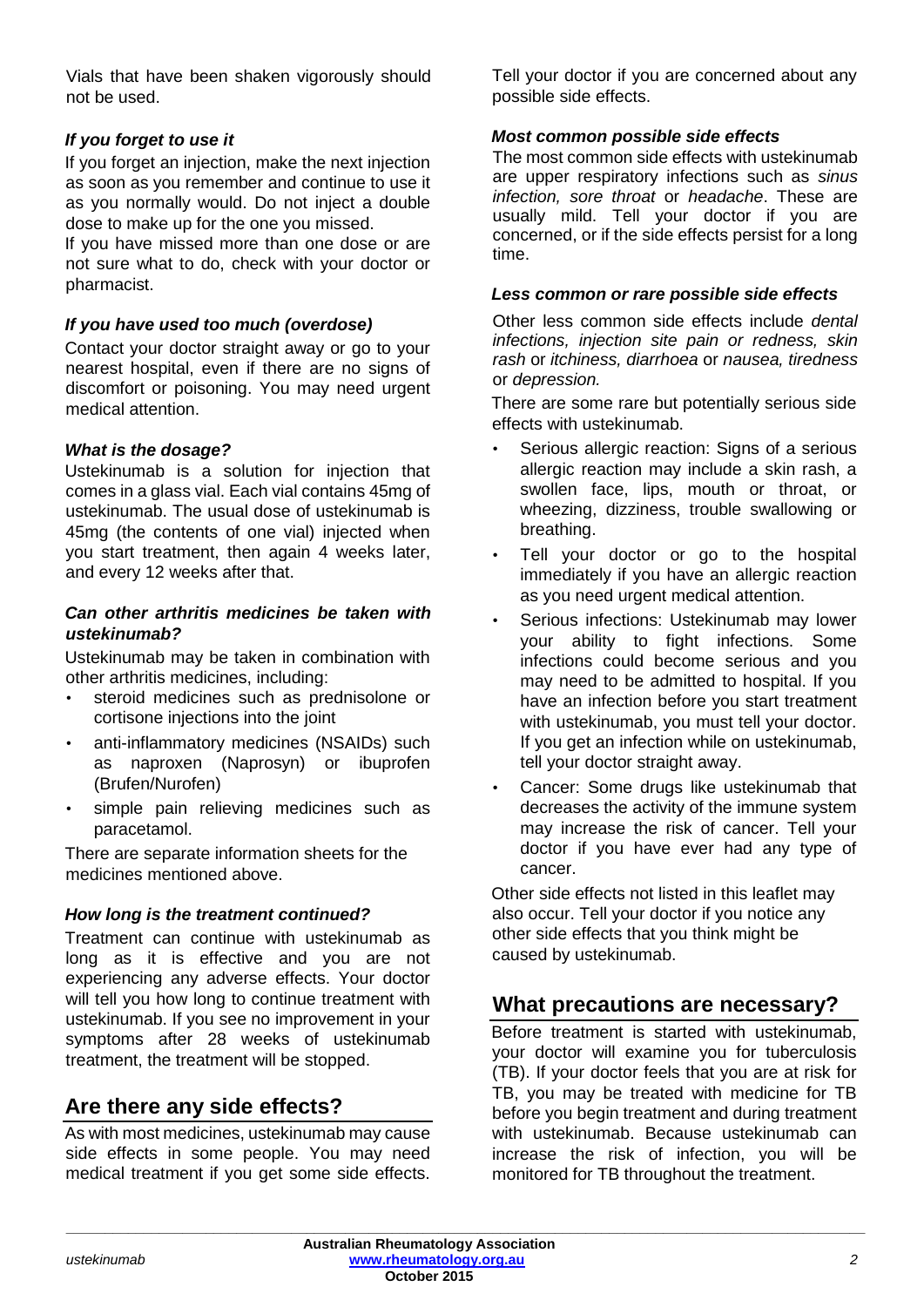Vials that have been shaken vigorously should not be used.

### *If you forget to use it*

If you forget an injection, make the next injection as soon as you remember and continue to use it as you normally would. Do not inject a double dose to make up for the one you missed.

If you have missed more than one dose or are not sure what to do, check with your doctor or pharmacist.

#### *If you have used too much (overdose)*

Contact your doctor straight away or go to your nearest hospital, even if there are no signs of discomfort or poisoning. You may need urgent medical attention.

#### *What is the dosage?*

Ustekinumab is a solution for injection that comes in a glass vial. Each vial contains 45mg of ustekinumab. The usual dose of ustekinumab is 45mg (the contents of one vial) injected when you start treatment, then again 4 weeks later, and every 12 weeks after that.

#### *Can other arthritis medicines be taken with ustekinumab?*

Ustekinumab may be taken in combination with other arthritis medicines, including:

- steroid medicines such as prednisolone or cortisone injections into the joint
- anti-inflammatory medicines (NSAIDs) such as naproxen (Naprosyn) or ibuprofen (Brufen/Nurofen)
- simple pain relieving medicines such as paracetamol.

There are separate information sheets for the medicines mentioned above.

#### *How long is the treatment continued?*

Treatment can continue with ustekinumab as long as it is effective and you are not experiencing any adverse effects. Your doctor will tell you how long to continue treatment with ustekinumab. If you see no improvement in your symptoms after 28 weeks of ustekinumab treatment, the treatment will be stopped.

# **Are there any side effects?**

As with most medicines, ustekinumab may cause side effects in some people. You may need medical treatment if you get some side effects. Tell your doctor if you are concerned about any possible side effects.

#### *Most common possible side effects*

The most common side effects with ustekinumab are upper respiratory infections such as *sinus infection, sore throat* or *headache*. These are usually mild. Tell your doctor if you are concerned, or if the side effects persist for a long time.

#### *Less common or rare possible side effects*

Other less common side effects include *dental infections, injection site pain or redness, skin rash* or *itchiness, diarrhoea* or *nausea, tiredness* or *depression.* 

There are some rare but potentially serious side effects with ustekinumab.

- Serious allergic reaction: Signs of a serious allergic reaction may include a skin rash, a swollen face, lips, mouth or throat, or wheezing, dizziness, trouble swallowing or breathing.
- Tell your doctor or go to the hospital immediately if you have an allergic reaction as you need urgent medical attention.
- Serious infections: Ustekinumab may lower your ability to fight infections. Some infections could become serious and you may need to be admitted to hospital. If you have an infection before you start treatment with ustekinumab, you must tell your doctor. If you get an infection while on ustekinumab, tell your doctor straight away.
- Cancer: Some drugs like ustekinumab that decreases the activity of the immune system may increase the risk of cancer. Tell your doctor if you have ever had any type of cancer.

Other side effects not listed in this leaflet may also occur. Tell your doctor if you notice any other side effects that you think might be caused by ustekinumab.

# **What precautions are necessary?**

Before treatment is started with ustekinumab, your doctor will examine you for tuberculosis (TB). If your doctor feels that you are at risk for TB, you may be treated with medicine for TB before you begin treatment and during treatment with ustekinumab. Because ustekinumab can increase the risk of infection, you will be monitored for TB throughout the treatment.

**\_\_\_\_\_\_\_\_\_\_\_\_\_\_\_\_\_\_\_\_\_\_\_\_\_\_\_\_\_\_\_\_\_\_\_\_\_\_\_\_\_\_\_\_\_\_\_\_\_\_\_\_\_\_\_\_\_\_\_\_\_\_\_\_\_\_\_\_\_\_\_\_\_\_\_\_\_\_\_\_\_\_\_\_\_\_\_\_\_\_\_\_\_\_\_\_\_\_\_\_\_\_\_**